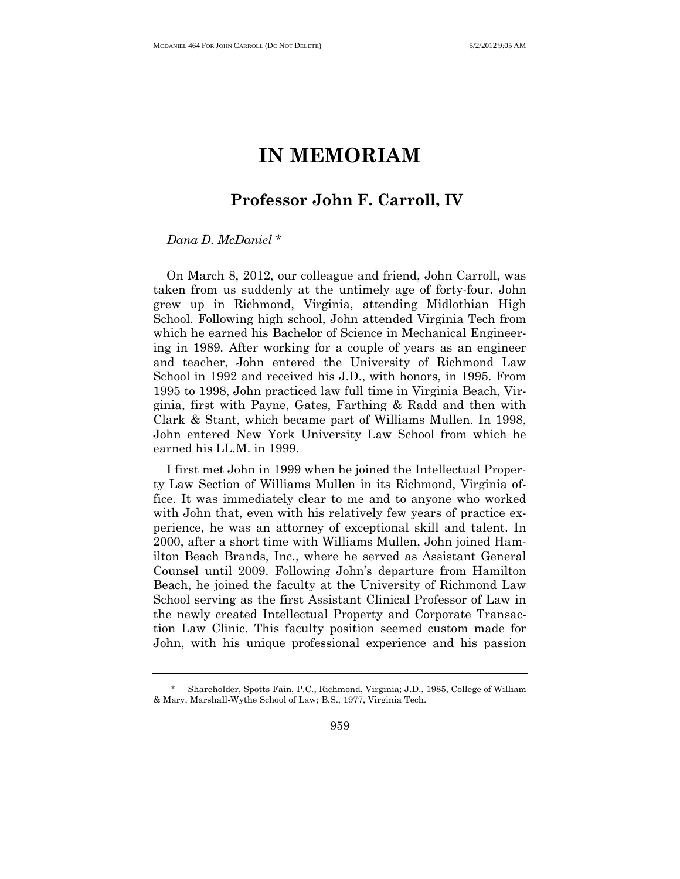## **IN MEMORIAM**

## **Professor John F. Carroll, IV**

## *Dana D. McDaniel* \*

On March 8, 2012, our colleague and friend, John Carroll, was taken from us suddenly at the untimely age of forty-four. John grew up in Richmond, Virginia, attending Midlothian High School. Following high school, John attended Virginia Tech from which he earned his Bachelor of Science in Mechanical Engineering in 1989. After working for a couple of years as an engineer and teacher, John entered the University of Richmond Law School in 1992 and received his J.D., with honors, in 1995. From 1995 to 1998, John practiced law full time in Virginia Beach, Virginia, first with Payne, Gates, Farthing & Radd and then with Clark & Stant, which became part of Williams Mullen. In 1998, John entered New York University Law School from which he earned his LL.M. in 1999.

I first met John in 1999 when he joined the Intellectual Property Law Section of Williams Mullen in its Richmond, Virginia office. It was immediately clear to me and to anyone who worked with John that, even with his relatively few years of practice experience, he was an attorney of exceptional skill and talent. In 2000, after a short time with Williams Mullen, John joined Hamilton Beach Brands, Inc., where he served as Assistant General Counsel until 2009. Following John's departure from Hamilton Beach, he joined the faculty at the University of Richmond Law School serving as the first Assistant Clinical Professor of Law in the newly created Intellectual Property and Corporate Transaction Law Clinic. This faculty position seemed custom made for John, with his unique professional experience and his passion

<sup>\*</sup> Shareholder, Spotts Fain, P.C., Richmond, Virginia; J.D., 1985, College of William & Mary, Marshall-Wythe School of Law; B.S., 1977, Virginia Tech.